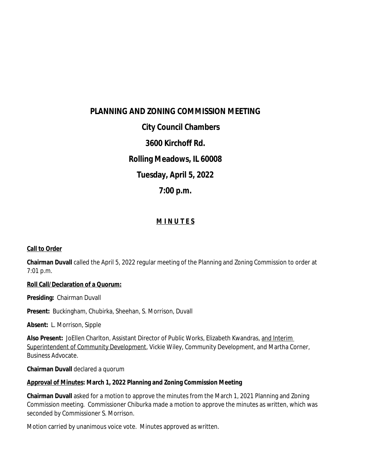# **PLANNING AND ZONING COMMISSION MEETING City Council Chambers 3600 Kirchoff Rd. Rolling Meadows, IL 60008 Tuesday, April 5, 2022 7:00 p.m.**

# **M I N U T E S**

## **Call to Order**

**Chairman Duvall** called the April 5, 2022 regular meeting of the Planning and Zoning Commission to order at 7:01 p.m.

#### **Roll Call/Declaration of a Quorum:**

**Presiding:** Chairman Duvall

**Present:** Buckingham, Chubirka, Sheehan, S. Morrison, Duvall

**Absent:** L. Morrison, Sipple

**Also Present:** JoEllen Charlton, Assistant Director of Public Works, Elizabeth Kwandras, and Interim Superintendent of Community Development, Vickie Wiley, Community Development, and Martha Corner, Business Advocate.

**Chairman Duvall** declared a quorum

#### **Approval of Minutes: March 1, 2022 Planning and Zoning Commission Meeting**

**Chairman Duvall** asked for a motion to approve the minutes from the March 1, 2021 Planning and Zoning Commission meeting. Commissioner Chiburka made a motion to approve the minutes as written, which was seconded by Commissioner S. Morrison.

Motion carried by unanimous voice vote. Minutes approved as written.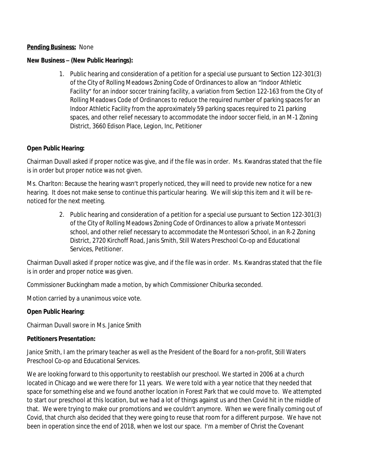#### **Pending Business:** None

#### **New Business – (New Public Hearings):**

1. Public hearing and consideration of a petition for a special use pursuant to Section 122-301(3) of the City of Rolling Meadows Zoning Code of Ordinances to allow an "Indoor Athletic Facility" for an indoor soccer training facility, a variation from Section 122-163 from the City of Rolling Meadows Code of Ordinances to reduce the required number of parking spaces for an Indoor Athletic Facility from the approximately 59 parking spaces required to 21 parking spaces, and other relief necessary to accommodate the indoor soccer field, in an M-1 Zoning District, 3660 Edison Place, Legion, Inc, Petitioner

#### **Open Public Hearing:**

Chairman Duvall asked if proper notice was give, and if the file was in order. Ms. Kwandras stated that the file is in order but proper notice was not given.

Ms. Charlton: Because the hearing wasn't properly noticed, they will need to provide new notice for a new hearing. It does not make sense to continue this particular hearing. We will skip this item and it will be renoticed for the next meeting.

> 2. Public hearing and consideration of a petition for a special use pursuant to Section 122-301(3) of the City of Rolling Meadows Zoning Code of Ordinances to allow a private Montessori school, and other relief necessary to accommodate the Montessori School, in an R-2 Zoning District, 2720 Kirchoff Road, Janis Smith, Still Waters Preschool Co-op and Educational Services, Petitioner.

Chairman Duvall asked if proper notice was give, and if the file was in order. Ms. Kwandras stated that the file is in order and proper notice was given.

Commissioner Buckingham made a motion, by which Commissioner Chiburka seconded.

Motion carried by a unanimous voice vote.

#### **Open Public Hearing:**

Chairman Duvall swore in Ms. Janice Smith

#### **Petitioners Presentation:**

Janice Smith, I am the primary teacher as well as the President of the Board for a non-profit, Still Waters Preschool Co-op and Educational Services.

We are looking forward to this opportunity to reestablish our preschool. We started in 2006 at a church located in Chicago and we were there for 11 years. We were told with a year notice that they needed that space for something else and we found another location in Forest Park that we could move to. We attempted to start our preschool at this location, but we had a lot of things against us and then Covid hit in the middle of that. We were trying to make our promotions and we couldn't anymore. When we were finally coming out of Covid, that church also decided that they were going to reuse that room for a different purpose. We have not been in operation since the end of 2018, when we lost our space. I'm a member of Christ the Covenant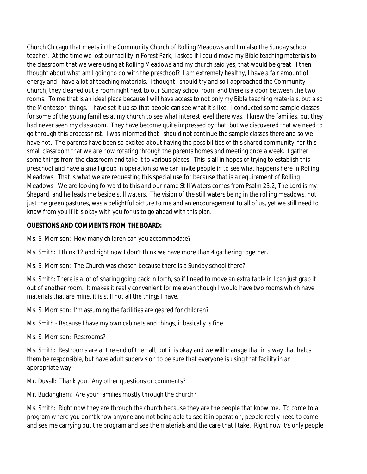Church Chicago that meets in the Community Church of Rolling Meadows and I'm also the Sunday school teacher. At the time we lost our facility in Forest Park, I asked if I could move my Bible teaching materials to the classroom that we were using at Rolling Meadows and my church said yes, that would be great. I then thought about what am I going to do with the preschool? I am extremely healthy, I have a fair amount of energy and I have a lot of teaching materials. I thought I should try and so I approached the Community Church, they cleaned out a room right next to our Sunday school room and there is a door between the two rooms. To me that is an ideal place because I will have access to not only my Bible teaching materials, but also the Montessori things. I have set it up so that people can see what it's like. I conducted some sample classes for some of the young families at my church to see what interest level there was. I knew the families, but they had never seen my classroom. They have become quite impressed by that, but we discovered that we need to go through this process first. I was informed that I should not continue the sample classes there and so we have not. The parents have been so excited about having the possibilities of this shared community, for this small classroom that we are now rotating through the parents homes and meeting once a week. I gather some things from the classroom and take it to various places. This is all in hopes of trying to establish this preschool and have a small group in operation so we can invite people in to see what happens here in Rolling Meadows. That is what we are requesting this special use for because that is a requirement of Rolling Meadows. We are looking forward to this and our name Still Waters comes from Psalm 23:2, The Lord is my Shepard, and he leads me beside still waters. The vision of the still waters being in the rolling meadows, not just the green pastures, was a delightful picture to me and an encouragement to all of us, yet we still need to know from you if it is okay with you for us to go ahead with this plan.

## **QUESTIONS AND COMMENTS FROM THE BOARD:**

Ms. S. Morrison: How many children can you accommodate?

Ms. Smith: I think 12 and right now I don't think we have more than 4 gathering together.

Ms. S. Morrison: The Church was chosen because there is a Sunday school there?

Ms. Smith: There is a lot of sharing going back in forth, so if I need to move an extra table in I can just grab it out of another room. It makes it really convenient for me even though I would have two rooms which have materials that are mine, it is still not all the things I have.

Ms. S. Morrison: I'm assuming the facilities are geared for children?

Ms. Smith - Because I have my own cabinets and things, it basically is fine.

Ms. S. Morrison: Restrooms?

Ms. Smith: Restrooms are at the end of the hall, but it is okay and we will manage that in a way that helps them be responsible, but have adult supervision to be sure that everyone is using that facility in an appropriate way.

Mr. Duvall: Thank you. Any other questions or comments?

Mr. Buckingham: Are your families mostly through the church?

Ms. Smith: Right now they are through the church because they are the people that know me. To come to a program where you don't know anyone and not being able to see it in operation, people really need to come and see me carrying out the program and see the materials and the care that I take. Right now it's only people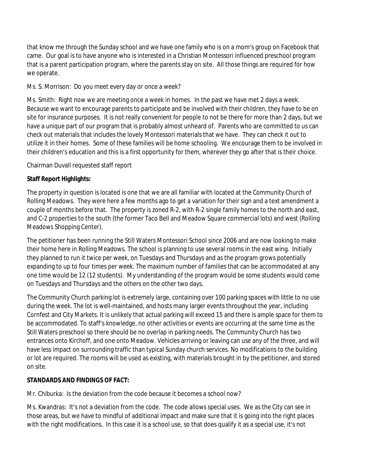that know me through the Sunday school and we have one family who is on a mom's group on Facebook that came. Our goal is to have anyone who is interested in a Christian Montessori influenced preschool program that is a parent participation program, where the parents stay on site. All those things are required for how we operate.

Ms. S. Morrison: Do you meet every day or once a week?

Ms. Smith: Right now we are meeting once a week in homes. In the past we have met 2 days a week. Because we want to encourage parents to participate and be involved with their children, they have to be on site for insurance purposes. It is not really convenient for people to not be there for more than 2 days, but we have a unique part of our program that is probably almost unheard of. Parents who are committed to us can check out materials that includes the lovely Montessori materials that we have. They can check it out to utilize it in their homes. Some of these families will be home schooling. We encourage them to be involved in their children's education and this is a first opportunity for them, wherever they go after that is their choice.

Chairman Duvall requested staff report

## **Staff Report Highlights:**

The property in question is located is one that we are all familiar with located at the Community Church of Rolling Meadows. They were here a few months ago to get a variation for their sign and a text amendment a couple of months before that. The property is zoned R-2, with R-2 single family homes to the north and east, and C-2 properties to the south (the former Taco Bell and Meadow Square commercial lots) and west (Rolling Meadows Shopping Center).

The petitioner has been running the Still Waters Montessori School since 2006 and are now looking to make their home here in Rolling Meadows. The school is planning to use several rooms in the east wing. Initially they planned to run it twice per week, on Tuesdays and Thursdays and as the program grows potentially expanding to up to four times per week. The maximum number of families that can be accommodated at any one time would be 12 (12 students). My understanding of the program would be some students would come on Tuesdays and Thursdays and the others on the other two days.

The Community Church parking lot is extremely large, containing over 100 parking spaces with little to no use during the week. The lot is well-maintained, and hosts many larger events throughout the year, including Cornfest and City Markets. It is unlikely that actual parking will exceed 15 and there is ample space for them to be accommodated. To staff's knowledge, no other activities or events are occurring at the same time as the Still Waters preschool so there should be no overlap in parking needs. The Community Church has two entrances onto Kirchoff, and one onto Meadow. Vehicles arriving or leaving can use any of the three, and will have less impact on surrounding traffic than typical Sunday church services. No modifications to the building or lot are required. The rooms will be used as existing, with materials brought in by the petitioner, and stored on site.

## **STANDARDS AND FINDINGS OF FACT:**

Mr. Chiburka: Is the deviation from the code because it becomes a school now?

Ms. Kwandras: It's not a deviation from the code. The code allows special uses. We as the City can see in those areas, but we have to mindful of additional impact and make sure that it is going into the right places with the right modifications. In this case it is a school use, so that does qualify it as a special use, it's not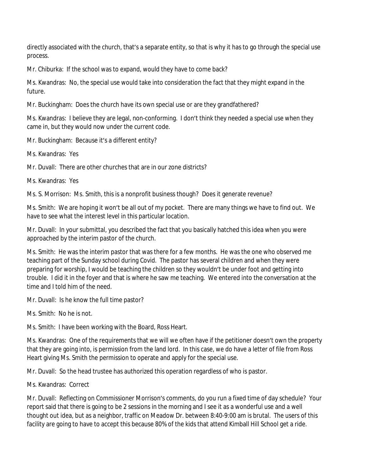directly associated with the church, that's a separate entity, so that is why it has to go through the special use process.

Mr. Chiburka: If the school was to expand, would they have to come back?

Ms. Kwandras: No, the special use would take into consideration the fact that they might expand in the future.

Mr. Buckingham: Does the church have its own special use or are they grandfathered?

Ms. Kwandras: I believe they are legal, non-conforming. I don't think they needed a special use when they came in, but they would now under the current code.

Mr. Buckingham: Because it's a different entity?

Ms. Kwandras: Yes

Mr. Duvall: There are other churches that are in our zone districts?

Ms. Kwandras: Yes

Ms. S. Morrison: Ms. Smith, this is a nonprofit business though? Does it generate revenue?

Ms. Smith: We are hoping it won't be all out of my pocket. There are many things we have to find out. We have to see what the interest level in this particular location.

Mr. Duvall: In your submittal, you described the fact that you basically hatched this idea when you were approached by the interim pastor of the church.

Ms. Smith: He was the interim pastor that was there for a few months. He was the one who observed me teaching part of the Sunday school during Covid. The pastor has several children and when they were preparing for worship, I would be teaching the children so they wouldn't be under foot and getting into trouble. I did it in the foyer and that is where he saw me teaching. We entered into the conversation at the time and I told him of the need.

Mr. Duvall: Is he know the full time pastor?

Ms. Smith: No he is not.

Ms. Smith: I have been working with the Board, Ross Heart.

Ms. Kwandras: One of the requirements that we will we often have if the petitioner doesn't own the property that they are going into, is permission from the land lord. In this case, we do have a letter of file from Ross Heart giving Ms. Smith the permission to operate and apply for the special use.

Mr. Duvall: So the head trustee has authorized this operation regardless of who is pastor.

Ms. Kwandras: Correct

Mr. Duvall: Reflecting on Commissioner Morrison's comments, do you run a fixed time of day schedule? Your report said that there is going to be 2 sessions in the morning and I see it as a wonderful use and a well thought out idea, but as a neighbor, traffic on Meadow Dr. between 8:40-9:00 am is brutal. The users of this facility are going to have to accept this because 80% of the kids that attend Kimball Hill School get a ride.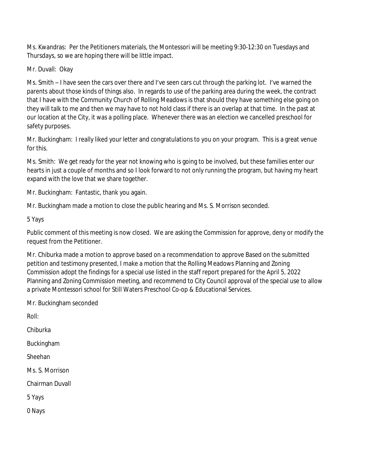Ms. Kwandras: Per the Petitioners materials, the Montessori will be meeting 9:30-12:30 on Tuesdays and Thursdays, so we are hoping there will be little impact.

Mr. Duvall: Okay

Ms. Smith – I have seen the cars over there and I've seen cars cut through the parking lot. I've warned the parents about those kinds of things also. In regards to use of the parking area during the week, the contract that I have with the Community Church of Rolling Meadows is that should they have something else going on they will talk to me and then we may have to not hold class if there is an overlap at that time. In the past at our location at the City, it was a polling place. Whenever there was an election we cancelled preschool for safety purposes.

Mr. Buckingham: I really liked your letter and congratulations to you on your program. This is a great venue for this.

Ms. Smith: We get ready for the year not knowing who is going to be involved, but these families enter our hearts in just a couple of months and so I look forward to not only running the program, but having my heart expand with the love that we share together.

Mr. Buckingham: Fantastic, thank you again.

Mr. Buckingham made a motion to close the public hearing and Ms. S. Morrison seconded.

5 Yays

Public comment of this meeting is now closed. We are asking the Commission for approve, deny or modify the request from the Petitioner.

Mr. Chiburka made a motion to approve based on a recommendation to approve Based on the submitted petition and testimony presented, I make a motion that the Rolling Meadows Planning and Zoning Commission adopt the findings for a special use listed in the staff report prepared for the April 5, 2022 Planning and Zoning Commission meeting, and recommend to City Council approval of the special use to allow a private Montessori school for Still Waters Preschool Co-op & Educational Services.

Mr. Buckingham seconded

Roll:

Chiburka

Buckingham

Sheehan

Ms. S. Morrison

Chairman Duvall

5 Yays

0 Nays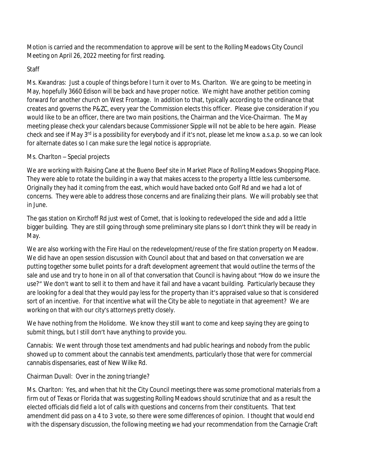Motion is carried and the recommendation to approve will be sent to the Rolling Meadows City Council Meeting on April 26, 2022 meeting for first reading.

# Staff

Ms. Kwandras: Just a couple of things before I turn it over to Ms. Charlton. We are going to be meeting in May, hopefully 3660 Edison will be back and have proper notice. We might have another petition coming forward for another church on West Frontage. In addition to that, typically according to the ordinance that creates and governs the P&ZC, every year the Commission elects this officer. Please give consideration if you would like to be an officer, there are two main positions, the Chairman and the Vice-Chairman. The May meeting please check your calendars because Commissioner Sipple will not be able to be here again. Please check and see if May 3<sup>rd</sup> is a possibility for everybody and if it's not, please let me know a.s.a.p. so we can look for alternate dates so I can make sure the legal notice is appropriate.

# Ms. Charlton – Special projects

We are working with Raising Cane at the Bueno Beef site in Market Place of Rolling Meadows Shopping Place. They were able to rotate the building in a way that makes access to the property a little less cumbersome. Originally they had it coming from the east, which would have backed onto Golf Rd and we had a lot of concerns. They were able to address those concerns and are finalizing their plans. We will probably see that in June.

The gas station on Kirchoff Rd just west of Comet, that is looking to redeveloped the side and add a little bigger building. They are still going through some preliminary site plans so I don't think they will be ready in May.

We are also working with the Fire Haul on the redevelopment/reuse of the fire station property on Meadow. We did have an open session discussion with Council about that and based on that conversation we are putting together some bullet points for a draft development agreement that would outline the terms of the sale and use and try to hone in on all of that conversation that Council is having about "How do we insure the use?" We don't want to sell it to them and have it fail and have a vacant building. Particularly because they are looking for a deal that they would pay less for the property than it's appraised value so that is considered sort of an incentive. For that incentive what will the City be able to negotiate in that agreement? We are working on that with our city's attorneys pretty closely.

We have nothing from the Holidome. We know they still want to come and keep saying they are going to submit things, but I still don't have anything to provide you.

Cannabis: We went through those text amendments and had public hearings and nobody from the public showed up to comment about the cannabis text amendments, particularly those that were for commercial cannabis dispensaries, east of New Wilke Rd.

# Chairman Duvall: Over in the zoning triangle?

Ms. Charlton: Yes, and when that hit the City Council meetings there was some promotional materials from a firm out of Texas or Florida that was suggesting Rolling Meadows should scrutinize that and as a result the elected officials did field a lot of calls with questions and concerns from their constituents. That text amendment did pass on a 4 to 3 vote, so there were some differences of opinion. I thought that would end with the dispensary discussion, the following meeting we had your recommendation from the Carnagie Craft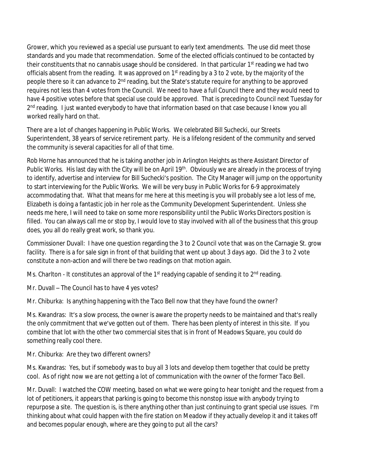Grower, which you reviewed as a special use pursuant to early text amendments. The use did meet those standards and you made that recommendation. Some of the elected officials continued to be contacted by their constituents that no cannabis usage should be considered. In that particular 1<sup>st</sup> reading we had two officials absent from the reading. It was approved on 1<sup>st</sup> reading by a 3 to 2 vote, by the majority of the people there so it can advance to 2<sup>nd</sup> reading, but the State's statute require for anything to be approved requires not less than 4 votes from the Council. We need to have a full Council there and they would need to have 4 positive votes before that special use could be approved. That is preceding to Council next Tuesday for 2<sup>nd</sup> reading. I just wanted everybody to have that information based on that case because I know you all worked really hard on that.

There are a lot of changes happening in Public Works. We celebrated Bill Suchecki, our Streets Superintendent, 38 years of service retirement party. He is a lifelong resident of the community and served the community is several capacities for all of that time.

Rob Horne has announced that he is taking another job in Arlington Heights as there Assistant Director of Public Works. His last day with the City will be on April 19<sup>th</sup>. Obviously we are already in the process of trying to identify, advertise and interview for Bill Suchecki's position. The City Manager will jump on the opportunity to start interviewing for the Public Works. We will be very busy in Public Works for 6-9 approximately accommodating that. What that means for me here at this meeting is you will probably see a lot less of me, Elizabeth is doing a fantastic job in her role as the Community Development Superintendent. Unless she needs me here, I will need to take on some more responsibility until the Public Works Directors position is filled. You can always call me or stop by, I would love to stay involved with all of the business that this group does, you all do really great work, so thank you.

Commissioner Duvall: I have one question regarding the 3 to 2 Council vote that was on the Carnagie St. grow facility. There is a for sale sign in front of that building that went up about 3 days ago. Did the 3 to 2 vote constitute a non-action and will there be two readings on that motion again.

Ms. Charlton - It constitutes an approval of the  $1<sup>st</sup>$  readying capable of sending it to  $2<sup>nd</sup>$  reading.

Mr. Duvall – The Council has to have 4 yes votes?

Mr. Chiburka: Is anything happening with the Taco Bell now that they have found the owner?

Ms. Kwandras: It's a slow process, the owner is aware the property needs to be maintained and that's really the only commitment that we've gotten out of them. There has been plenty of interest in this site. If you combine that lot with the other two commercial sites that is in front of Meadows Square, you could do something really cool there.

Mr. Chiburka: Are they two different owners?

Ms. Kwandras: Yes, but if somebody was to buy all 3 lots and develop them together that could be pretty cool. As of right now we are not getting a lot of communication with the owner of the former Taco Bell.

Mr. Duvall: I watched the COW meeting, based on what we were going to hear tonight and the request from a lot of petitioners, it appears that parking is going to become this nonstop issue with anybody trying to repurpose a site. The question is, is there anything other than just continuing to grant special use issues. I'm thinking about what could happen with the fire station on Meadow if they actually develop it and it takes off and becomes popular enough, where are they going to put all the cars?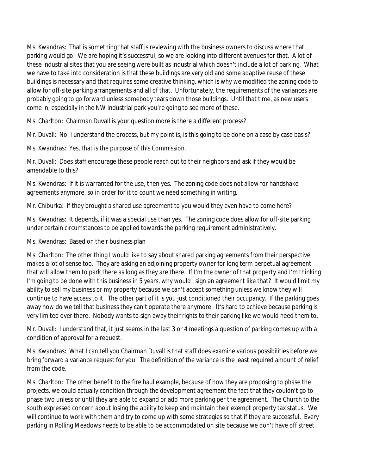Ms. Kwandras: That is something that staff is reviewing with the business owners to discuss where that parking would go. We are hoping it's successful, so we are looking into different avenues for that. A lot of these industrial sites that you are seeing were built as industrial which doesn't include a lot of parking. What we have to take into consideration is that these buildings are very old and some adaptive reuse of these buildings is necessary and that requires some creative thinking, which is why we modified the zoning code to allow for off-site parking arrangements and all of that. Unfortunately, the requirements of the variances are probably going to go forward unless somebody tears down those buildings. Until that time, as new users come in, especially in the NW industrial park you're going to see more of these.

Ms. Charlton: Chairman Duvall is your question more is there a different process?

Mr. Duvall: No, I understand the process, but my point is, is this going to be done on a case by case basis?

Ms. Kwandras: Yes, that is the purpose of this Commission.

Mr. Duvall: Does staff encourage these people reach out to their neighbors and ask if they would be amendable to this?

Ms. Kwandras: If it is warranted for the use, then yes. The zoning code does not allow for handshake agreements anymore, so in order for it to count we need something in writing.

Mr. Chiburka: If they brought a shared use agreement to you would they even have to come here?

Ms. Kwandras: It depends, if it was a special use than yes. The zoning code does allow for off-site parking under certain circumstances to be applied towards the parking requirement administratively.

## Ms. Kwandras: Based on their business plan

Ms. Charlton: The other thing I would like to say about shared parking agreements from their perspective makes a lot of sense too. They are asking an adjoining property owner for long term perpetual agreement that will allow them to park there as long as they are there. If I'm the owner of that property and I'm thinking I'm going to be done with this business in 5 years, why would I sign an agreement like that? It would limit my ability to sell my business or my property because we can't accept something unless we know they will continue to have access to it. The other part of it is you just conditioned their occupancy. If the parking goes away how do we tell that business they can't operate there anymore. It's hard to achieve because parking is very limited over there. Nobody wants to sign away their rights to their parking like we would need them to.

Mr. Duvall: I understand that, it just seems in the last 3 or 4 meetings a question of parking comes up with a condition of approval for a request.

Ms. Kwandras: What I can tell you Chairman Duvall is that staff does examine various possibilities before we bring forward a variance request for you. The definition of the variance is the least required amount of relief from the code.

Ms. Charlton: The other benefit to the fire haul example, because of how they are proposing to phase the projects, we could actually condition through the development agreement the fact that they couldn't go to phase two unless or until they are able to expand or add more parking per the agreement. The Church to the south expressed concern about losing the ability to keep and maintain their exempt property tax status. We will continue to work with them and try to come up with some strategies so that if they are successful. Every parking in Rolling Meadows needs to be able to be accommodated on site because we don't have off street